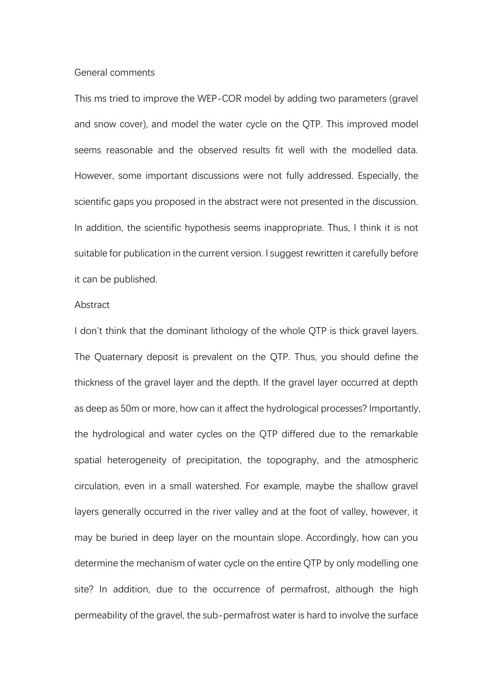## General comments

This ms tried to improve the WEP-COR model by adding two parameters (gravel and snow cover), and model the water cycle on the QTP. This improved model seems reasonable and the observed results fit well with the modelled data. However, some important discussions were not fully addressed. Especially, the scientific gaps you proposed in the abstract were not presented in the discussion. In addition, the scientific hypothesis seems inappropriate. Thus, I think it is not suitable for publication in the current version. I suggest rewritten it carefully before it can be published.

## **Abstract**

I don't think that the dominant lithology of the whole QTP is thick gravel layers. The Quaternary deposit is prevalent on the QTP. Thus, you should define the thickness of the gravel layer and the depth. If the gravel layer occurred at depth as deep as 50m or more, how can it affect the hydrological processes? Importantly, the hydrological and water cycles on the QTP differed due to the remarkable spatial heterogeneity of precipitation, the topography, and the atmospheric circulation, even in a small watershed. For example, maybe the shallow gravel layers generally occurred in the river valley and at the foot of valley, however, it may be buried in deep layer on the mountain slope. Accordingly, how can you determine the mechanism of water cycle on the entire QTP by only modelling one site? In addition, due to the occurrence of permafrost, although the high permeability of the gravel, the sub-permafrost water is hard to involve the surface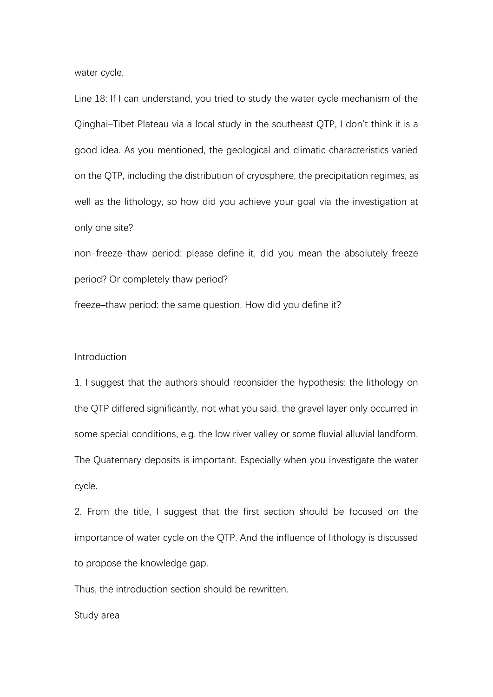water cycle.

Line 18: If I can understand, you tried to study the water cycle mechanism of the Qinghai–Tibet Plateau via a local study in the southeast QTP, I don't think it is a good idea. As you mentioned, the geological and climatic characteristics varied on the QTP, including the distribution of cryosphere, the precipitation regimes, as well as the lithology, so how did you achieve your goal via the investigation at only one site?

non-freeze–thaw period: please define it, did you mean the absolutely freeze period? Or completely thaw period?

freeze–thaw period: the same question. How did you define it?

## Introduction

1. I suggest that the authors should reconsider the hypothesis: the lithology on the QTP differed significantly, not what you said, the gravel layer only occurred in some special conditions, e.g. the low river valley or some fluvial alluvial landform. The Quaternary deposits is important. Especially when you investigate the water cycle.

2. From the title, I suggest that the first section should be focused on the importance of water cycle on the QTP. And the influence of lithology is discussed to propose the knowledge gap.

Thus, the introduction section should be rewritten.

Study area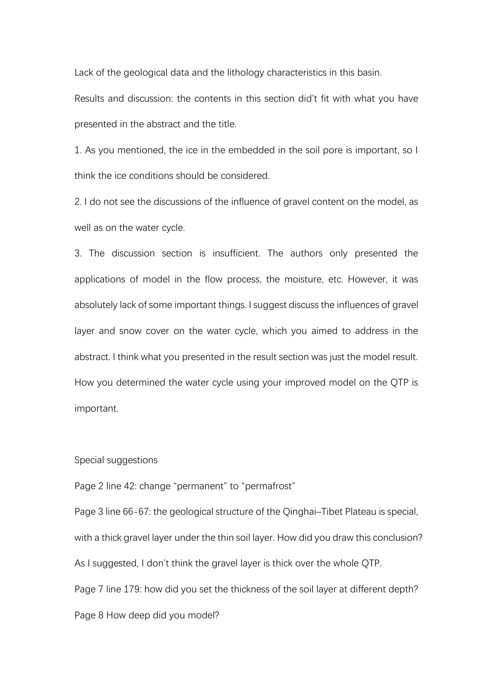Lack of the geological data and the lithology characteristics in this basin.

Results and discussion: the contents in this section did't fit with what you have presented in the abstract and the title.

1. As you mentioned, the ice in the embedded in the soil pore is important, so I think the ice conditions should be considered.

2. I do not see the discussions of the influence of gravel content on the model, as well as on the water cycle.

3. The discussion section is insufficient. The authors only presented the applications of model in the flow process, the moisture, etc. However, it was absolutely lack of some important things. I suggest discuss the influences of gravel layer and snow cover on the water cycle, which you aimed to address in the abstract. I think what you presented in the result section was just the model result. How you determined the water cycle using your improved model on the QTP is important.

## Special suggestions

Page 2 line 42: change "permanent" to "permafrost"

Page 3 line 66-67: the geological structure of the Qinghai–Tibet Plateau is special, with a thick gravel layer under the thin soil layer. How did you draw this conclusion? As I suggested, I don't think the gravel layer is thick over the whole QTP. Page 7 line 179: how did you set the thickness of the soil layer at different depth? Page 8 How deep did you model?